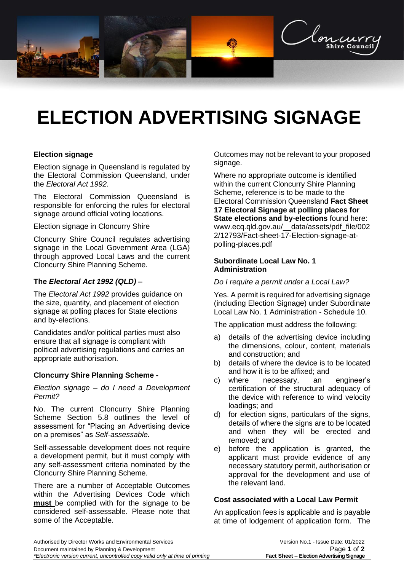

# **ELECTION ADVERTISING SIGNAGE**

### **Election signage**

Election signage in Queensland is regulated by the Electoral Commission Queensland, under the *Electoral Act 1992*.

The Electoral Commission Queensland is responsible for enforcing the rules for electoral signage around official voting locations.

Election signage in Cloncurry Shire

Cloncurry Shire Council regulates advertising signage in the Local Government Area (LGA) through approved Local Laws and the current Cloncurry Shire Planning Scheme.

## **The** *Electoral Act 1992 (QLD)* **–**

The *Electoral Act 1992* provides guidance on the size, quantity, and placement of election signage at polling places for State elections and by-elections.

Candidates and/or political parties must also ensure that all signage is compliant with political advertising regulations and carries an appropriate authorisation.

### **Cloncurry Shire Planning Scheme -**

*Election signage – do I need a Development Permit?*

No. The current Cloncurry Shire Planning Scheme Section 5.8 outlines the level of assessment for "Placing an Advertising device on a premises" as *Self-assessable.*

Self-assessable development does not require a development permit, but it must comply with any self-assessment criteria nominated by the Cloncurry Shire Planning Scheme.

There are a number of Acceptable Outcomes within the Advertising Devices Code which **must** be complied with for the signage to be considered self-assessable. Please note that some of the Acceptable.

Outcomes may not be relevant to your proposed signage.

Where no appropriate outcome is identified within the current Cloncurry Shire Planning Scheme, reference is to be made to the Electoral Commission Queensland **Fact Sheet 17 Electoral Signage at polling places for State elections and by-elections** found here: [www.ecq.qld.gov.au/\\_\\_data/assets/pdf\\_file/002](http://www.ecq.qld.gov.au/__data/assets/pdf_file/0022/12793/Fact-sheet-17-Election-signage-at-polling-places.pdf) [2/12793/Fact-sheet-17-Election-signage-at](http://www.ecq.qld.gov.au/__data/assets/pdf_file/0022/12793/Fact-sheet-17-Election-signage-at-polling-places.pdf)[polling-places.pdf](http://www.ecq.qld.gov.au/__data/assets/pdf_file/0022/12793/Fact-sheet-17-Election-signage-at-polling-places.pdf)

#### **Subordinate Local Law No. 1 Administration**

*Do I require a permit under a Local Law?*

Yes. A permit is required for advertising signage (including Election Signage) under Subordinate Local Law No. 1 Administration - Schedule 10.

The application must address the following:

- a) details of the advertising device including the dimensions, colour, content, materials and construction; and
- b) details of where the device is to be located and how it is to be affixed; and
- c) where necessary, an engineer's certification of the structural adequacy of the device with reference to wind velocity loadings; and
- d) for election signs, particulars of the signs, details of where the signs are to be located and when they will be erected and removed; and
- e) before the application is granted, the applicant must provide evidence of any necessary statutory permit, authorisation or approval for the development and use of the relevant land.

### **Cost associated with a Local Law Permit**

An application fees is applicable and is payable at time of lodgement of application form. The